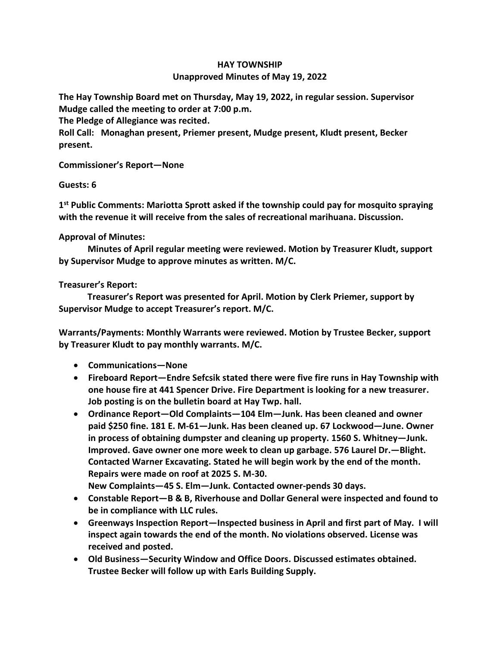## **HAY TOWNSHIP Unapproved Minutes of May 19, 2022**

**The Hay Township Board met on Thursday, May 19, 2022, in regular session. Supervisor Mudge called the meeting to order at 7:00 p.m.** 

**The Pledge of Allegiance was recited.** 

**Roll Call: Monaghan present, Priemer present, Mudge present, Kludt present, Becker present.**

**Commissioner's Report—None**

## **Guests: 6**

**1 st Public Comments: Mariotta Sprott asked if the township could pay for mosquito spraying with the revenue it will receive from the sales of recreational marihuana. Discussion.**

## **Approval of Minutes:**

 **Minutes of April regular meeting were reviewed. Motion by Treasurer Kludt, support by Supervisor Mudge to approve minutes as written. M/C.**

## **Treasurer's Report:**

 **Treasurer's Report was presented for April. Motion by Clerk Priemer, support by Supervisor Mudge to accept Treasurer's report. M/C.**

**Warrants/Payments: Monthly Warrants were reviewed. Motion by Trustee Becker, support by Treasurer Kludt to pay monthly warrants. M/C.**

- **Communications—None**
- **Fireboard Report—Endre Sefcsik stated there were five fire runs in Hay Township with one house fire at 441 Spencer Drive. Fire Department is looking for a new treasurer. Job posting is on the bulletin board at Hay Twp. hall.**
- **Ordinance Report—Old Complaints—104 Elm—Junk. Has been cleaned and owner paid \$250 fine. 181 E. M-61—Junk. Has been cleaned up. 67 Lockwood—June. Owner in process of obtaining dumpster and cleaning up property. 1560 S. Whitney—Junk. Improved. Gave owner one more week to clean up garbage. 576 Laurel Dr.—Blight. Contacted Warner Excavating. Stated he will begin work by the end of the month. Repairs were made on roof at 2025 S. M-30.**

**New Complaints—45 S. Elm—Junk. Contacted owner-pends 30 days.**

- **Constable Report—B & B, Riverhouse and Dollar General were inspected and found to be in compliance with LLC rules.**
- **Greenways Inspection Report—Inspected business in April and first part of May. I will inspect again towards the end of the month. No violations observed. License was received and posted.**
- **Old Business—Security Window and Office Doors. Discussed estimates obtained. Trustee Becker will follow up with Earls Building Supply.**